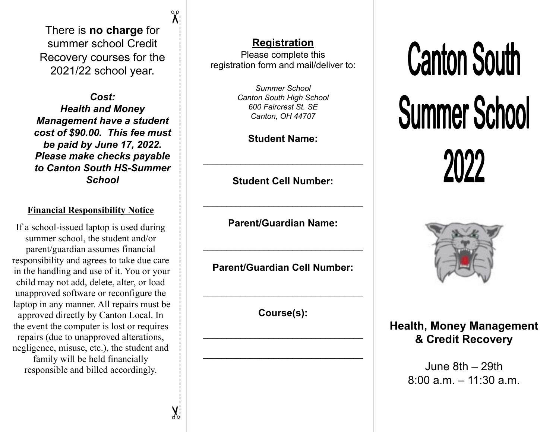There is **no charge** for summer school Credit Recovery courses for the 2021/22 school year.

 $\chi$ 

 $\chi$ 

*Cost: Health and Money Management have a student cost of \$90.00. This fee must be paid by June 17, 2022. Please make checks payable to Canton South HS-Summer School*

### **Financial Responsibility Notice**

If a school-issued laptop is used during summer school, the student and/or parent/guardian assumes financial responsibility and agrees to take due care in the handling and use of it. You or your child may not add, delete, alter, or load unapproved software or reconfigure the laptop in any manner. All repairs must be approved directly by Canton Local. In the event the computer is lost or requires repairs (due to unapproved alterations, negligence, misuse, etc.), the student and family will be held financially responsible and billed accordingly.

## **Registration**

Please complete this registration form and mail/deliver to:

> *Summer School Canton South High School 600 Faircrest St. SE Canton, OH 44707*

### **Student Name:**

**Student Cell Number:** 

 $\_$ 

 $\_$ 

**Parent/Guardian Name:**

 $\_$ 

**Parent/Guardian Cell Number:**

**Course(s):** 

 $\_$ 

 $\_$ 

 $\_$ 





**Health, Money Management & Credit Recovery** 

> June 8th – 29th  $8:00 a m - 11:30 a m$